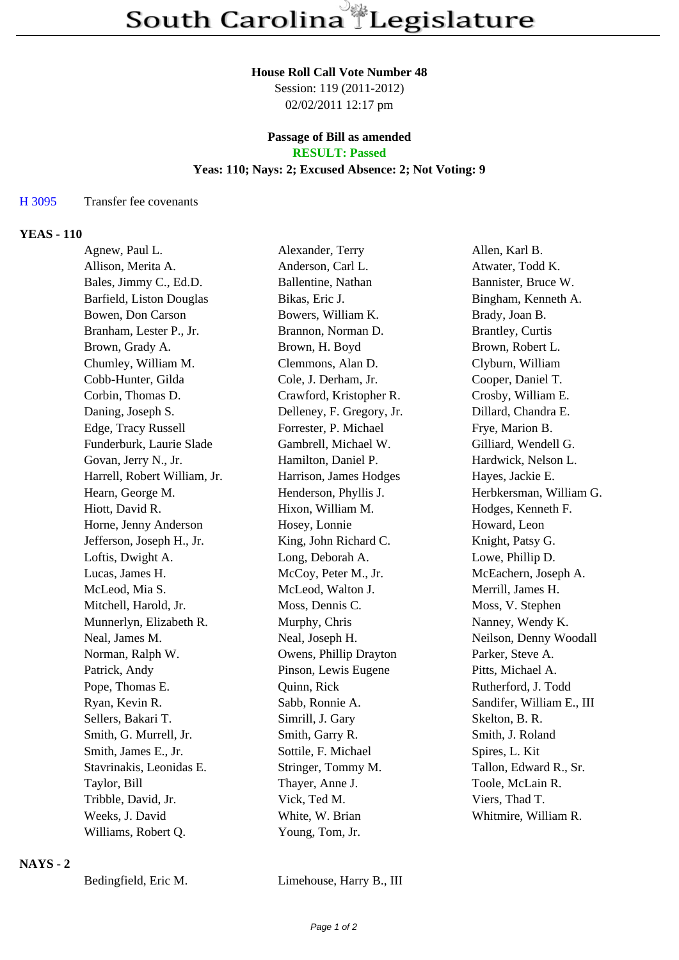#### **House Roll Call Vote Number 48**

Session: 119 (2011-2012) 02/02/2011 12:17 pm

## **Passage of Bill as amended RESULT: Passed**

## **Yeas: 110; Nays: 2; Excused Absence: 2; Not Voting: 9**

## H 3095 Transfer fee covenants

## **YEAS - 110**

| Agnew, Paul L.               | Alexander, Terry          | Allen, Karl B.            |
|------------------------------|---------------------------|---------------------------|
| Allison, Merita A.           | Anderson, Carl L.         | Atwater, Todd K.          |
| Bales, Jimmy C., Ed.D.       | Ballentine, Nathan        | Bannister, Bruce W.       |
| Barfield, Liston Douglas     | Bikas, Eric J.            | Bingham, Kenneth A.       |
| Bowen, Don Carson            | Bowers, William K.        | Brady, Joan B.            |
| Branham, Lester P., Jr.      | Brannon, Norman D.        | <b>Brantley, Curtis</b>   |
| Brown, Grady A.              | Brown, H. Boyd            | Brown, Robert L.          |
| Chumley, William M.          | Clemmons, Alan D.         | Clyburn, William          |
| Cobb-Hunter, Gilda           | Cole, J. Derham, Jr.      | Cooper, Daniel T.         |
| Corbin, Thomas D.            | Crawford, Kristopher R.   | Crosby, William E.        |
| Daning, Joseph S.            | Delleney, F. Gregory, Jr. | Dillard, Chandra E.       |
| Edge, Tracy Russell          | Forrester, P. Michael     | Frye, Marion B.           |
| Funderburk, Laurie Slade     | Gambrell, Michael W.      | Gilliard, Wendell G.      |
| Govan, Jerry N., Jr.         | Hamilton, Daniel P.       | Hardwick, Nelson L.       |
| Harrell, Robert William, Jr. | Harrison, James Hodges    | Hayes, Jackie E.          |
| Hearn, George M.             | Henderson, Phyllis J.     | Herbkersman, William G.   |
| Hiott, David R.              | Hixon, William M.         | Hodges, Kenneth F.        |
| Horne, Jenny Anderson        | Hosey, Lonnie             | Howard, Leon              |
| Jefferson, Joseph H., Jr.    | King, John Richard C.     | Knight, Patsy G.          |
| Loftis, Dwight A.            | Long, Deborah A.          | Lowe, Phillip D.          |
| Lucas, James H.              | McCoy, Peter M., Jr.      | McEachern, Joseph A.      |
| McLeod, Mia S.               | McLeod, Walton J.         | Merrill, James H.         |
| Mitchell, Harold, Jr.        | Moss, Dennis C.           | Moss, V. Stephen          |
| Munnerlyn, Elizabeth R.      | Murphy, Chris             | Nanney, Wendy K.          |
| Neal, James M.               | Neal, Joseph H.           | Neilson, Denny Woodall    |
| Norman, Ralph W.             | Owens, Phillip Drayton    | Parker, Steve A.          |
| Patrick, Andy                | Pinson, Lewis Eugene      | Pitts, Michael A.         |
| Pope, Thomas E.              | Quinn, Rick               | Rutherford, J. Todd       |
| Ryan, Kevin R.               | Sabb, Ronnie A.           | Sandifer, William E., III |
| Sellers, Bakari T.           | Simrill, J. Gary          | Skelton, B. R.            |
| Smith, G. Murrell, Jr.       | Smith, Garry R.           | Smith, J. Roland          |
| Smith, James E., Jr.         | Sottile, F. Michael       | Spires, L. Kit            |
| Stavrinakis, Leonidas E.     | Stringer, Tommy M.        | Tallon, Edward R., Sr.    |
| Taylor, Bill                 | Thayer, Anne J.           | Toole, McLain R.          |
| Tribble, David, Jr.          | Vick, Ted M.              | Viers, Thad T.            |
| Weeks, J. David              | White, W. Brian           | Whitmire, William R.      |
| Williams, Robert Q.          | Young, Tom, Jr.           |                           |
|                              |                           |                           |

## **NAYS - 2**

Bedingfield, Eric M. Limehouse, Harry B., III